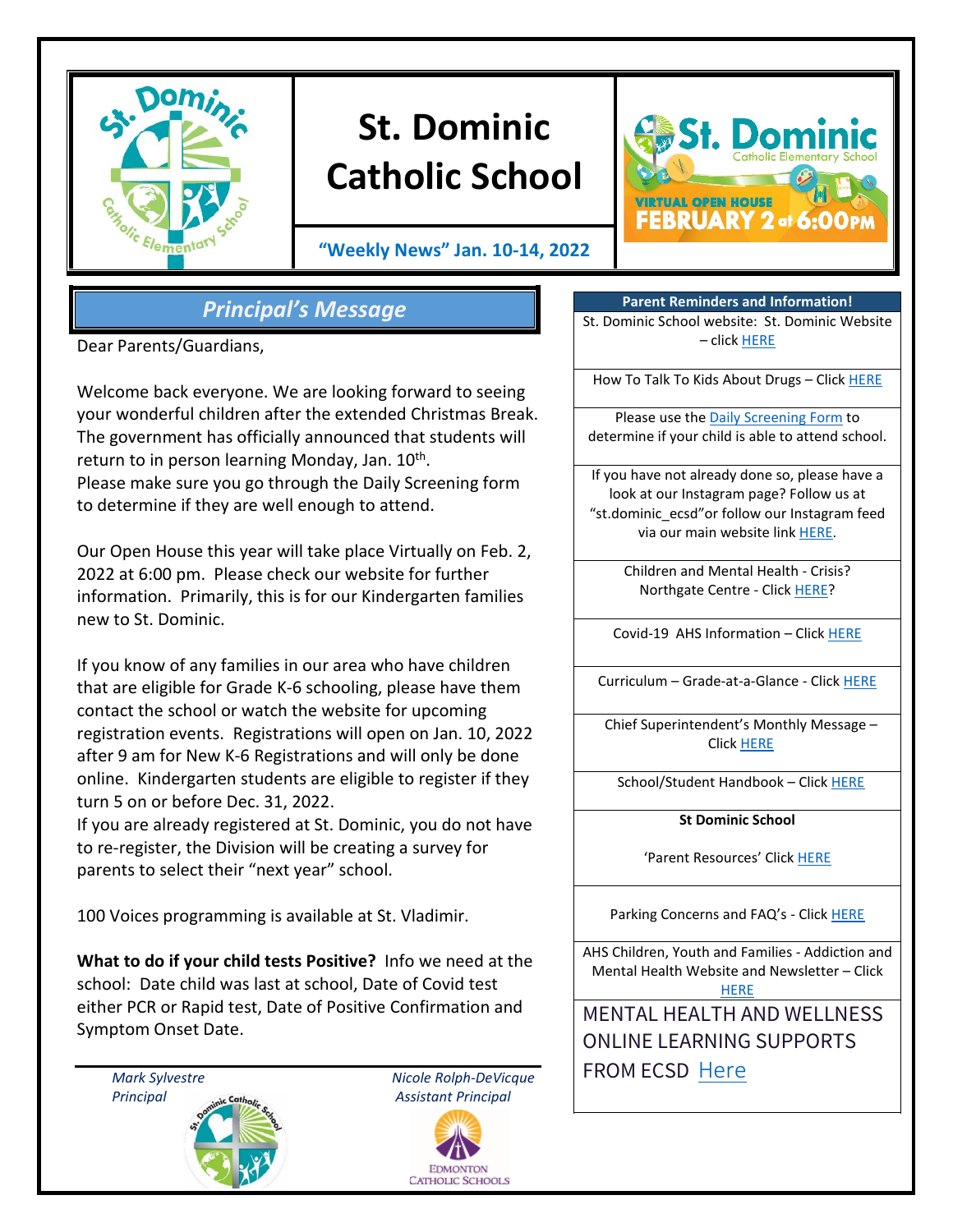

# **St. Dominic Catholic School**

**"Weekly News" Jan. 10-14, 2022**



## *Principal's Message*

Dear Parents/Guardians,

Welcome back everyone. We are looking forward to seeing your wonderful children after the extended Christmas Break. The government has officially announced that students will return to in person learning Monday, Jan.  $10^{th}$ . Please make sure you go through the Daily Screening form to determine if they are well enough to attend.

Our Open House this year will take place Virtually on Feb. 2, 2022 at 6:00 pm. Please check our website for further information. Primarily, this is for our Kindergarten families new to St. Dominic.

If you know of any families in our area who have children that are eligible for Grade K-6 schooling, please have them contact the school or watch the website for upcoming registration events. Registrations will open on Jan. 10, 2022 after 9 am for New K-6 Registrations and will only be done online. Kindergarten students are eligible to register if they turn 5 on or before Dec. 31, 2022.

If you are already registered at St. Dominic, you do not have to re-register, the Division will be creating a survey for parents to select their "next year" school.

100 Voices programming is available at St. Vladimir.

**What to do if your child tests Positive?** Info we need at the school: Date child was last at school, Date of Covid test either PCR or Rapid test, Date of Positive Confirmation and Symptom Onset Date.





**Parent Reminders and Information!** St. Dominic School website: St. Dominic Website – click [HERE](https://www.ecsd.net/8020)

How To Talk To Kids About Drugs – Clic[k HERE](https://www.albertahealthservices.ca/Blogs/PFH/Posting305.aspx#.W6BEH-SouUm)

Please use the [Daily Screening Form](https://www.ecsd.net/_ci/p/34430) to determine if your child is able to attend school.

If you have not already done so, please have a look at our Instagram page? Follow us at "st.dominic\_ecsd"or follow our Instagram feed via our main website lin[k HERE.](https://www.instagram.com/st.dominic_ecsd/)

> Children and Mental Health - Crisis? Northgate Centre - Click [HERE?](https://www.albertahealthservices.ca/findhealth/Service.aspx?serviceAtFacilityId=1049807)

Covid-19 AHS Information – Clic[k HERE](https://www.albertahealthservices.ca/topics/Page16944.aspx)

Curriculum – Grade-at-a-Glance - Click [HERE](https://www.learnalberta.ca/content/mychildslearning/)

Chief Superintendent's Monthly Message – Click [HERE](https://www.ecsd.net/page/9041/chief-superintendent-s-message)

School/Student Handbook - Click [HERE](https://sbecsdstor.blob.core.windows.net/docs/a1e3310d-da1d-40ab-8398-941ae85938cc_St.%20Dominic%20School%20School%20Handbook%20-%20For%20Website%20-%20Updated%20May%202018.pdf)

**St Dominic School**

'Parent Resources' Clic[k HERE](https://www.ecsd.net/8020/page/5632/parent-resources)

Parking Concerns and FAQ's - Click [HERE](https://sbecsdstor.blob.core.windows.net/docs/d3525cec-cc07-4c3b-ba30-df3f7070a682_School%20Parking%20Information%20Sheet.pdf)

AHS Children, Youth and Families - Addiction and Mental Health Website and Newsletter – Click **[HERE](https://www.cyfcaregivereducation.ca/)** 

MENTAL HEALTH AND WELLNESS ONLINE LEARNING SUPPORTS FROM ECSD [Here](https://www.ecsd.net/page/7832/mental-health-and-wellness-online-learning-supports)